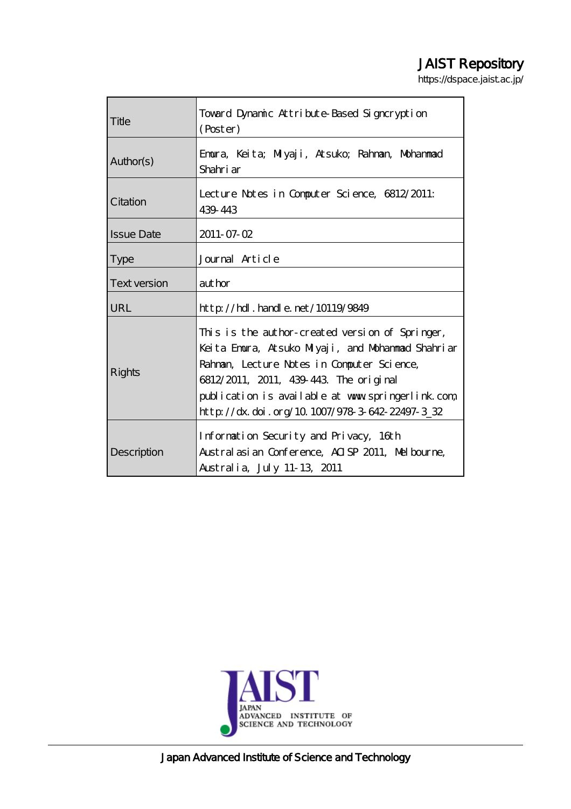# JAIST Repository

https://dspace.jaist.ac.jp/

| Title               | Toward Dynamic Attribute-Based Signcryption<br>(Poster)                                                                                                                                                                                                                                            |  |
|---------------------|----------------------------------------------------------------------------------------------------------------------------------------------------------------------------------------------------------------------------------------------------------------------------------------------------|--|
| Author(s)           | Emura, Keita; Milyaji, Atsuko; Rahman, Mohammad<br>Shahri ar                                                                                                                                                                                                                                       |  |
| Citation            | Lecture Notes in Computer Science, 6812/2011:<br>439 443                                                                                                                                                                                                                                           |  |
| <b>Issue Date</b>   | $2011 - 07 - 02$                                                                                                                                                                                                                                                                                   |  |
| <b>Type</b>         | Journal Article                                                                                                                                                                                                                                                                                    |  |
| <b>Text version</b> | aut hor                                                                                                                                                                                                                                                                                            |  |
| URL                 | $\frac{1}{2}$ http://hdl.handle.net/10119/9849                                                                                                                                                                                                                                                     |  |
| <b>Rights</b>       | This is the author-created version of Springer,<br>Keita Emora, Atsuko Miyaji, and Mohammad Shahriar<br>Rahman, Lecture Notes in Computer Science,<br>6812/2011, 2011, 439-443. The original<br>publication is available at www.springerlink.com<br>http://dx.doi.org/10.1007/978-3-642-22497-3_32 |  |
| Description         | Information Security and Privacy, 16th<br>Austral asian Conference, AISP 2011, Melbourne,<br>Australia, July 11-13, 2011                                                                                                                                                                           |  |



Japan Advanced Institute of Science and Technology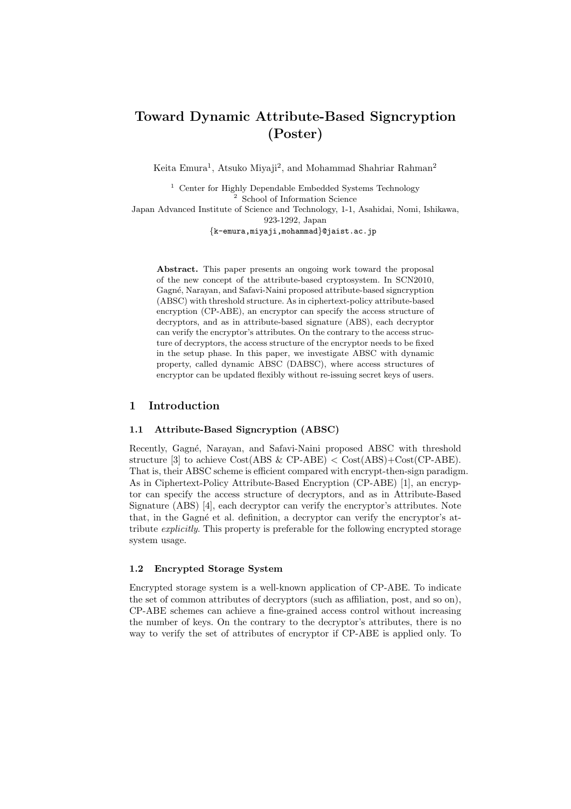# **Toward Dynamic Attribute-Based Signcryption (Poster)**

Keita Emura<sup>1</sup>, Atsuko Miyaji<sup>2</sup>, and Mohammad Shahriar Rahman<sup>2</sup>

<sup>1</sup> Center for Highly Dependable Embedded Systems Technology <sup>2</sup> School of Information Science

Japan Advanced Institute of Science and Technology, 1-1, Asahidai, Nomi, Ishikawa, 923-1292, Japan

*{*k-emura,miyaji,mohammad*}*@jaist.ac.jp

**Abstract.** This paper presents an ongoing work toward the proposal of the new concept of the attribute-based cryptosystem. In SCN2010, Gagn´e, Narayan, and Safavi-Naini proposed attribute-based signcryption (ABSC) with threshold structure. As in ciphertext-policy attribute-based encryption (CP-ABE), an encryptor can specify the access structure of decryptors, and as in attribute-based signature (ABS), each decryptor can verify the encryptor's attributes. On the contrary to the access structure of decryptors, the access structure of the encryptor needs to be fixed in the setup phase. In this paper, we investigate ABSC with dynamic property, called dynamic ABSC (DABSC), where access structures of encryptor can be updated flexibly without re-issuing secret keys of users.

#### **1 Introduction**

#### **1.1 Attribute-Based Signcryption (ABSC)**

Recently, Gagné, Narayan, and Safavi-Naini proposed ABSC with threshold structure [3] to achieve Cost(ABS & CP-ABE) *<* Cost(ABS)+Cost(CP-ABE). That is, their ABSC scheme is efficient compared with encrypt-then-sign paradigm. As in Ciphertext-Policy Attribute-Based Encryption (CP-ABE) [1], an encryptor can specify the access structure of decryptors, and as in Attribute-Based Signature  $(ABS)$  [4], each decryptor can verify the encryptor's attributes. Note that, in the Gagné et al. definition, a decryptor can verify the encryptor's attribute *explicitly*. This property is preferable for the following encrypted storage system usage.

#### **1.2 Encrypted Storage System**

Encrypted storage system is a well-known application of CP-ABE. To indicate the set of common attributes of decryptors (such as affiliation, post, and so on), CP-ABE schemes can achieve a fine-grained access control without increasing the number of keys. On the contrary to the decryptor's attributes, there is no way to verify the set of attributes of encryptor if CP-ABE is applied only. To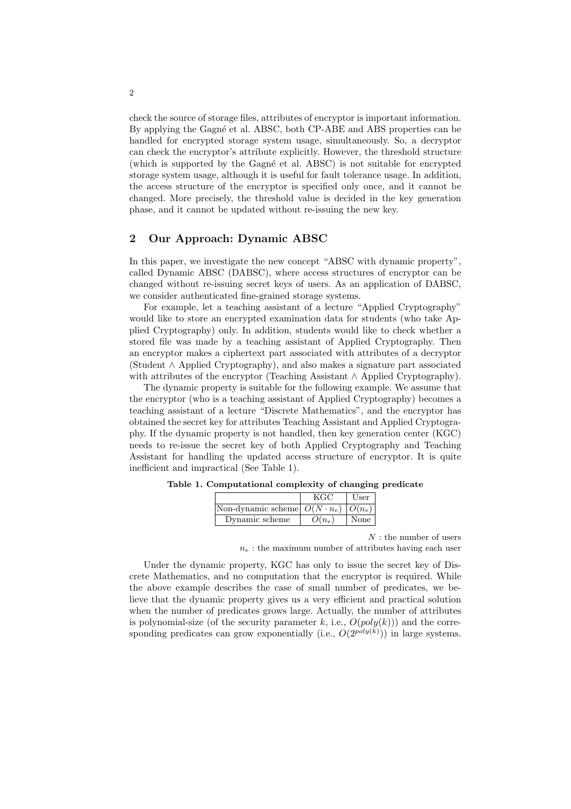check the source of storage files, attributes of encryptor is important information. By applying the Gagné et al. ABSC, both CP-ABE and ABS properties can be handled for encrypted storage system usage, simultaneously. So, a decryptor can check the encryptor's attribute explicitly. However, the threshold structure (which is supported by the Gagné et al. ABSC) is not suitable for encrypted storage system usage, although it is useful for fault tolerance usage. In addition, the access structure of the encryptor is specified only once, and it cannot be changed. More precisely, the threshold value is decided in the key generation phase, and it cannot be updated without re-issuing the new key.

# **2 Our Approach: Dynamic ABSC**

In this paper, we investigate the new concept "ABSC with dynamic property", called Dynamic ABSC (DABSC), where access structures of encryptor can be changed without re-issuing secret keys of users. As an application of DABSC, we consider authenticated fine-grained storage systems.

For example, let a teaching assistant of a lecture "Applied Cryptography" would like to store an encrypted examination data for students (who take Applied Cryptography) only. In addition, students would like to check whether a stored file was made by a teaching assistant of Applied Cryptography. Then an encryptor makes a ciphertext part associated with attributes of a decryptor (Student *∧* Applied Cryptography), and also makes a signature part associated with attributes of the encryptor (Teaching Assistant *∧* Applied Cryptography).

The dynamic property is suitable for the following example. We assume that the encryptor (who is a teaching assistant of Applied Cryptography) becomes a teaching assistant of a lecture "Discrete Mathematics", and the encryptor has obtained the secret key for attributes Teaching Assistant and Applied Cryptography. If the dynamic property is not handled, then key generation center (KGC) needs to re-issue the secret key of both Applied Cryptography and Teaching Assistant for handling the updated access structure of encryptor. It is quite inefficient and impractical (See Table 1).

|                                              | KGC      | User |
|----------------------------------------------|----------|------|
| Non-dynamic scheme $O(N \cdot n_e)$ $O(n_e)$ |          |      |
| Dynamic scheme                               | $O(n_e)$ | None |

**Table 1. Computational complexity of changing predicate**

*N* : the number of users

 $n_e$ : the maximum number of attributes having each user

Under the dynamic property, KGC has only to issue the secret key of Discrete Mathematics, and no computation that the encryptor is required. While the above example describes the case of small number of predicates, we believe that the dynamic property gives us a very efficient and practical solution when the number of predicates grows large. Actually, the number of attributes is polynomial-size (of the security parameter  $k$ , i.e.,  $O(\text{poly}(k))$ ) and the corresponding predicates can grow exponentially (i.e.,  $O(2^{poly(k)}))$  in large systems.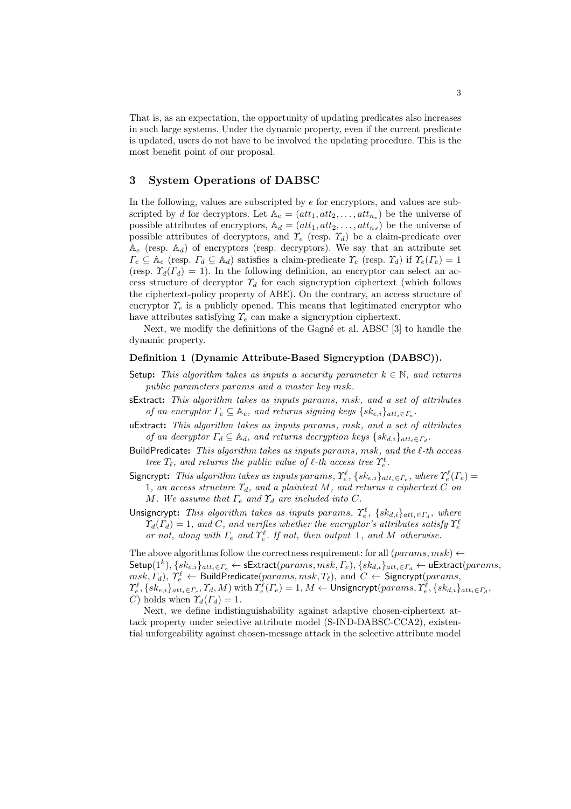That is, as an expectation, the opportunity of updating predicates also increases in such large systems. Under the dynamic property, even if the current predicate is updated, users do not have to be involved the updating procedure. This is the most benefit point of our proposal.

## **3 System Operations of DABSC**

In the following, values are subscripted by *e* for encryptors, and values are subscripted by *d* for decryptors. Let  $A_e = (att_1, att_2, \ldots, att_{n_e})$  be the universe of possible attributes of encryptors,  $\mathbb{A}_d = (att_1, att_2, \ldots, att_{n_d})$  be the universe of possible attributes of decryptors, and  $\gamma_e$  (resp.  $\gamma_d$ ) be a claim-predicate over  $A_e$  (resp.  $A_d$ ) of encryptors (resp. decryptors). We say that an attribute set  $\Gamma_e \subseteq \mathbb{A}_e$  (resp.  $\Gamma_d \subseteq \mathbb{A}_d$ ) satisfies a claim-predicate  $\Upsilon_e$  (resp.  $\Upsilon_d$ ) if  $\Upsilon_e(\Gamma_e) = 1$ (resp.  $\Upsilon_d(\Gamma_d) = 1$ ). In the following definition, an encryptor can select an access structure of decryptor  $\gamma_d$  for each signcryption ciphertext (which follows the ciphertext-policy property of ABE). On the contrary, an access structure of encryptor  $\gamma_e$  is a publicly opened. This means that legitimated encryptor who have attributes satisfying *Υ<sup>e</sup>* can make a signcryption ciphertext.

Next, we modify the definitions of the Gagné et al. ABSC [3] to handle the dynamic property.

#### **Definition 1 (Dynamic Attribute-Based Signcryption (DABSC)).**

- Setup: This algorithm takes as inputs a security parameter  $k \in \mathbb{N}$ , and returns *public parameters params and a master key msk.*
- sExtract**:** *This algorithm takes as inputs params, msk, and a set of attributes of an encryptor*  $\Gamma_e \subseteq \mathbb{A}_e$ , and returns signing keys  $\{sk_{e,i}\}_{att_i \in \Gamma_e}$ .
- uExtract**:** *This algorithm takes as inputs params, msk, and a set of attributes of an decryptor*  $\Gamma_d \subseteq \mathbb{A}_d$ *, and returns decryption keys*  $\{sk_{d,i}\}_{att_i \in \Gamma_d}$ *.*
- BuildPredicate**:** *This algorithm takes as inputs params, msk, and the ℓ-th access tree*  $T_{\ell}$ *, and returns the public value of*  $\ell$ *-th access tree*  $\gamma_{\epsilon}^{\ell}$ *.*
- Signcrypt: This algorithm takes as inputs params,  $\Upsilon_e^{\ell}$ ,  $\{sk_{e,i}\}_{att_i \in \Gamma_e}$ , where  $\Upsilon_e^{\ell}(\Gamma_e)$  = 1*, an access structure Υd, and a plaintext M, and returns a ciphertext C on M. We assume that*  $\Gamma_e$  *and*  $\Upsilon_d$  *are included into*  $C$ *.*
- Unsigncrypt: *This algorithm takes as inputs params,*  $\Upsilon_e^{\ell}$ ,  $\{sk_{d,i}\}_{att_i \in \Gamma_d}$ , where  $\varUpsilon_d(\varGamma_d) = 1$ *, and C, and verifies whether the encryptor's attributes satisfy*  $\varUpsilon_e^{\ell}$ *or not, along with*  $\Gamma_e$  *and*  $\Upsilon_e^{\ell}$ *. If not, then output*  $\bot$ *, and*  $M$  *otherwise.*

The above algorithms follow the correctness requirement: for all  $(params, msk) \leftarrow$  ${\sf Setup}(1^k), \{sk_{e,i}\}_{att_i \in \varGamma_e} \leftarrow {\sf sExtract}(params, msk, \varGamma_e), \{sk_{d,i}\}_{att_i \in \varGamma_d} \leftarrow {\sf uExtract}(params,$  $msk, \varGamma_d), \varUpsilon^{\ell}_e \leftarrow {\sf BuildPredicate}(params, msk, \varGamma_{\ell}), \text{ and } \, C \leftarrow {\sf Signcrypt}(params,$  $\varUpsilon_e^\ell, \{sk_{e,i}\}_{att_i\in\varGamma_e}, \varUpsilon_d, M)$  with  $\varUpsilon_e^\ell(\varGamma_e)=1, M\leftarrow {\sf Unsigncrypt}(params, \varUpsilon_e^\ell, \{sk_{d,i}\}_{att_i\in\varGamma_d},$ *C*) holds when  $\Upsilon_d(\Gamma_d) = 1$ .

Next, we define indistinguishability against adaptive chosen-ciphertext attack property under selective attribute model (S-IND-DABSC-CCA2), existential unforgeability against chosen-message attack in the selective attribute model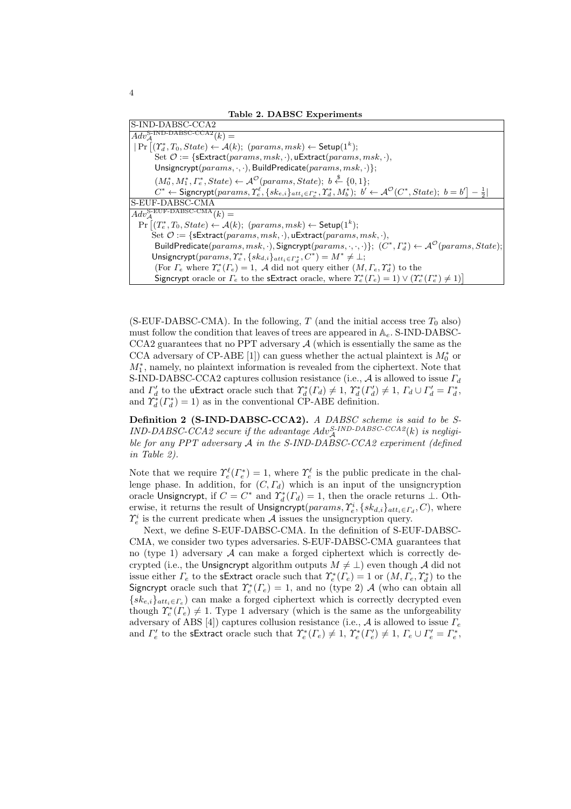| S-IND-DABSC-CCA2                                                                                                                                                                                              |
|---------------------------------------------------------------------------------------------------------------------------------------------------------------------------------------------------------------|
| $Adv_{A}^{\text{S-IND-DABSC-CCA2}}(k) =$                                                                                                                                                                      |
| $  \Pr \left[ (T_d^*, T_0, State) \leftarrow \mathcal{A}(k);$ $\left(params, msk \right) \leftarrow$ Setup $(1^k);$                                                                                           |
| Set $\mathcal{O} := \{\textsf{sktract}(params, msk, \cdot), \textsf{uExtract}(params, msk, \cdot),\}$                                                                                                         |
| Unsigncrypt( $params, \cdot, \cdot$ ), BuildPredicate( $params, msk, \cdot$ )};                                                                                                                               |
| $(M_0^*, M_1^*, \Gamma_e^*, State) \leftarrow \mathcal{A}^{\mathcal{O}}(params, State); b \stackrel{\$}{\leftarrow} \{0, 1\};$                                                                                |
| $C^* \leftarrow$ Signcrypt $(\text{params}, \Upsilon_e^{\ell}, \{s k_{e,i}\}_{att_i \in \Gamma_e^*}, \Upsilon_d^*, M_b^*)$ ; $b' \leftarrow A^{\mathcal{O}}(C^*, State)$ ; $b = b' \big  - \frac{1}{2} \big $ |
| S-EUF-DABSC-CMA                                                                                                                                                                                               |
| $Adv_{A}^{\text{S-EUF-DABSC-CMA}}(k) =$                                                                                                                                                                       |
| $\Pr   (T_e^*, T_0, State) \leftarrow \mathcal{A}(k);$ $(params, msk) \leftarrow \mathsf{Setup}(1^k);$                                                                                                        |
| Set $\mathcal{O} := \{ \textsf{sktract}(params, msk, \cdot), \textsf{uExtract}(params, msk, \cdot), \}$                                                                                                       |
| BuildPredicate(params, msk, .), Signcrypt(params, ., ., .)}; $(C^*, \Gamma_d^*) \leftarrow \mathcal{A}^{\mathcal{O}}(params, State);$                                                                         |
| Unsigncrypt $(params, \Upsilon_e^*, \{sk_{d,i}\}_{att_i \in \Gamma_d^*}, C^*) = M^* \neq \bot;$                                                                                                               |
| (For $\Gamma_e$ where $\Upsilon_e^*(\Gamma_e) = 1$ , A did not query either $(M, \Gamma_e, \Upsilon_d^*)$ to the                                                                                              |
| Signcrypt oracle or $\Gamma_e$ to the sExtract oracle, where $\Upsilon_e^*(\Gamma_e) = 1 \vee (\Upsilon_e^*(\Gamma_e^*) \neq 1)$                                                                              |
|                                                                                                                                                                                                               |

(S-EUF-DABSC-CMA). In the following,  $T$  (and the initial access tree  $T_0$  also) must follow the condition that leaves of trees are appeared in A*e*. S-IND-DABSC-CCA2 guarantees that no PPT adversary  $A$  (which is essentially the same as the CCA adversary of CP-ABE [1]) can guess whether the actual plaintext is  $M_0^*$  or *M*<sup>*∗*</sup><sub>1</sub>, namely, no plaintext information is revealed from the ciphertext. Note that S-IND-DABSC-CCA2 captures collusion resistance (i.e., *A* is allowed to issue *Γ<sup>d</sup>* and  $\Gamma'_d$  to the uExtract oracle such that  $\Upsilon_d^*(\Gamma_d) \neq 1$ ,  $\Upsilon_d^*(\Gamma'_d) \neq 1$ ,  $\Gamma_d \cup \Gamma'_d = \Gamma_d^*$ , and  $\Upsilon_d^*(\Gamma_d^*) = 1$  as in the conventional CP-ABE definition.

**Definition 2 (S-IND-DABSC-CCA2).** *A DABSC scheme is said to be S-* $IND-DABSC-CCA2$  secure if the advantage  $Adv_A^{S-IND-DABSC-CCA2}(k)$  is negligi*ble for any PPT adversary A in the S-IND-DABSC-CCA2 experiment (defined in Table 2).*

Note that we require  $\gamma_e^{\ell}(\Gamma_e^*)=1$ , where  $\gamma_e^{\ell}$  is the public predicate in the challenge phase. In addition, for  $(C, \Gamma_d)$  which is an input of the unsigncryption oracle Unsigncrypt, if  $C = C^*$  and  $\Upsilon_d^*(\Gamma_d) = 1$ , then the oracle returns  $\bot$ . Otherwise, it returns the result of Unsigncrypt( $params, \Upsilon_e^i, \{sk_{d,i}\}_{att_i \in \Gamma_d}, C$ ), where  $\gamma_e^i$  is the current predicate when *A* issues the unsigncryption query.

Next, we define S-EUF-DABSC-CMA. In the definition of S-EUF-DABSC-CMA, we consider two types adversaries. S-EUF-DABSC-CMA guarantees that no (type 1) adversary  $A$  can make a forged ciphertext which is correctly decrypted (i.e., the Unsigncrypt algorithm outputs  $M \neq \perp$ ) even though *A* did not issue either  $\Gamma_e$  to the sExtract oracle such that  $\Upsilon_e^*(\Gamma_e) = 1$  or  $(M, \Gamma_e, \Upsilon_d^*)$  to the Signcrypt oracle such that  $\Upsilon_e^*(\Gamma_e) = 1$ , and no (type 2) *A* (who can obtain all  ${s_k}_{e,i}$ *att<sub>i</sub>*∈*Γ*<sup>*e*</sup></sup> can make a forged ciphertext which is correctly decrypted even though  $\Upsilon_e^*(\Gamma_e) \neq 1$ . Type 1 adversary (which is the same as the unforgeability adversary of ABS [4]) captures collusion resistance (i.e., *A* is allowed to issue *Γ<sup>e</sup>* and  $\Gamma'_e$  to the sExtract oracle such that  $\Upsilon^*_e(\Gamma_e) \neq 1$ ,  $\Upsilon^*_e(\Gamma'_e) \neq 1$ ,  $\Gamma_e \cup \Gamma'_e = \Gamma^*_e$ ,